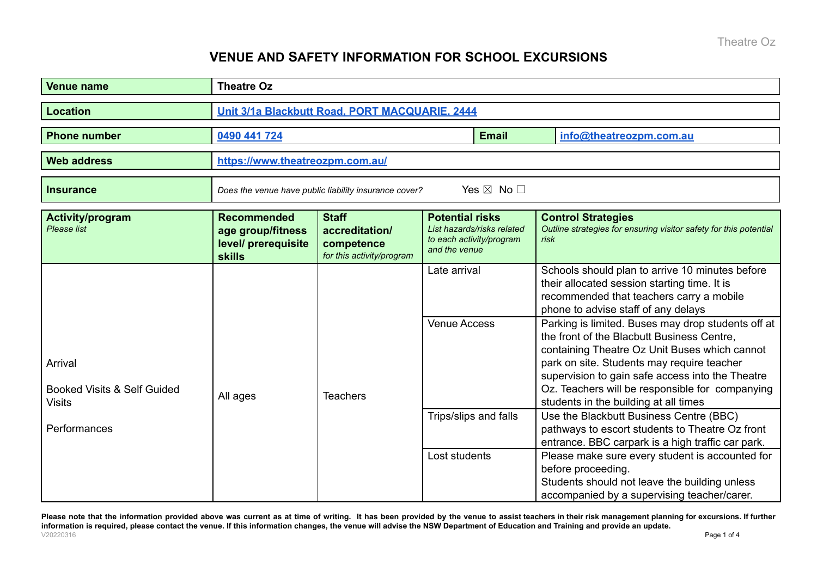## **VENUE AND SAFETY INFORMATION FOR SCHOOL EXCURSIONS**

| <b>Venue name</b>                                                  | <b>Theatre Oz</b>                                                                     |                                                                           |                                                                                                   |              |                                                                                                                                                                                                                                                                                                                                                 |  |
|--------------------------------------------------------------------|---------------------------------------------------------------------------------------|---------------------------------------------------------------------------|---------------------------------------------------------------------------------------------------|--------------|-------------------------------------------------------------------------------------------------------------------------------------------------------------------------------------------------------------------------------------------------------------------------------------------------------------------------------------------------|--|
| <b>Location</b>                                                    | Unit 3/1a Blackbutt Road, PORT MACQUARIE, 2444                                        |                                                                           |                                                                                                   |              |                                                                                                                                                                                                                                                                                                                                                 |  |
| <b>Phone number</b>                                                | 0490 441 724                                                                          |                                                                           |                                                                                                   | <b>Email</b> | info@theatreozpm.com.au                                                                                                                                                                                                                                                                                                                         |  |
| <b>Web address</b>                                                 | https://www.theatreozpm.com.au/                                                       |                                                                           |                                                                                                   |              |                                                                                                                                                                                                                                                                                                                                                 |  |
| <b>Insurance</b>                                                   | Yes $\boxtimes$ No $\square$<br>Does the venue have public liability insurance cover? |                                                                           |                                                                                                   |              |                                                                                                                                                                                                                                                                                                                                                 |  |
| <b>Activity/program</b><br>Please list                             | <b>Recommended</b><br>age group/fitness<br>level/ prerequisite<br><b>skills</b>       | <b>Staff</b><br>accreditation/<br>competence<br>for this activity/program | <b>Potential risks</b><br>List hazards/risks related<br>to each activity/program<br>and the venue |              | <b>Control Strategies</b><br>Outline strategies for ensuring visitor safety for this potential<br>risk                                                                                                                                                                                                                                          |  |
|                                                                    |                                                                                       |                                                                           | Late arrival                                                                                      |              | Schools should plan to arrive 10 minutes before<br>their allocated session starting time. It is<br>recommended that teachers carry a mobile<br>phone to advise staff of any delays                                                                                                                                                              |  |
| Arrival<br><b>Booked Visits &amp; Self Guided</b><br><b>Visits</b> | All ages                                                                              | <b>Teachers</b>                                                           | <b>Venue Access</b>                                                                               |              | Parking is limited. Buses may drop students off at<br>the front of the Blacbutt Business Centre.<br>containing Theatre Oz Unit Buses which cannot<br>park on site. Students may require teacher<br>supervision to gain safe access into the Theatre<br>Oz. Teachers will be responsible for companying<br>students in the building at all times |  |
| Performances                                                       |                                                                                       |                                                                           | Trips/slips and falls                                                                             |              | Use the Blackbutt Business Centre (BBC)<br>pathways to escort students to Theatre Oz front<br>entrance. BBC carpark is a high traffic car park.                                                                                                                                                                                                 |  |
|                                                                    |                                                                                       |                                                                           | Lost students                                                                                     |              | Please make sure every student is accounted for<br>before proceeding.<br>Students should not leave the building unless<br>accompanied by a supervising teacher/carer.                                                                                                                                                                           |  |

Please note that the information provided above was current as at time of writing. It has been provided by the venue to assist teachers in their risk management planning for excursions. If further information is required, please contact the venue. If this information changes, the venue will advise the NSW Department of Education and Training and provide an update. V20220316 Page 1 of 4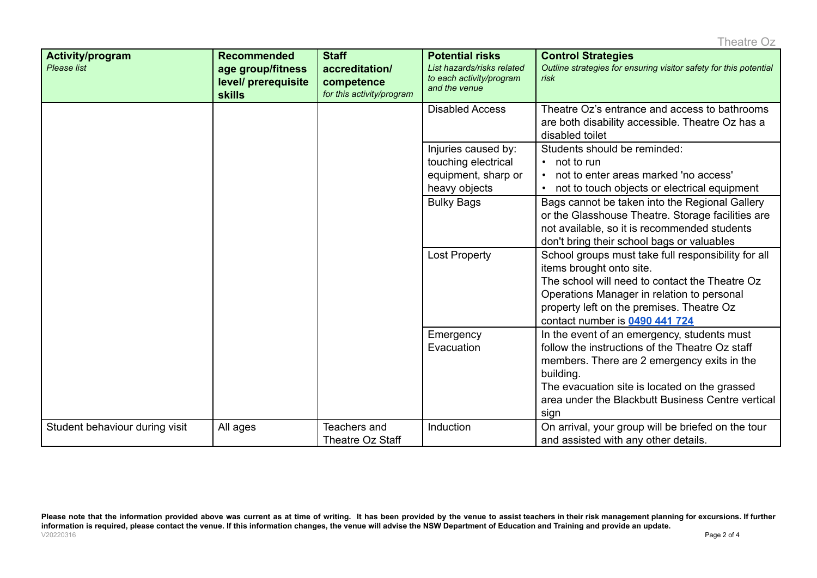| Activity/program<br>Please list | <b>Recommended</b><br>age group/fitness<br>level/ prerequisite<br><b>skills</b> | <b>Staff</b><br>accreditation/<br>competence<br>for this activity/program | <b>Potential risks</b><br>List hazards/risks related<br>to each activity/program<br>and the venue | <b>Control Strategies</b><br>Outline strategies for ensuring visitor safety for this potential<br>risk                                                                                                                                                                   |
|---------------------------------|---------------------------------------------------------------------------------|---------------------------------------------------------------------------|---------------------------------------------------------------------------------------------------|--------------------------------------------------------------------------------------------------------------------------------------------------------------------------------------------------------------------------------------------------------------------------|
|                                 |                                                                                 |                                                                           | <b>Disabled Access</b>                                                                            | Theatre Oz's entrance and access to bathrooms<br>are both disability accessible. Theatre Oz has a<br>disabled toilet                                                                                                                                                     |
|                                 |                                                                                 |                                                                           | Injuries caused by:<br>touching electrical<br>equipment, sharp or<br>heavy objects                | Students should be reminded:<br>$\cdot$ not to run<br>not to enter areas marked 'no access'<br>not to touch objects or electrical equipment                                                                                                                              |
|                                 |                                                                                 |                                                                           | <b>Bulky Bags</b>                                                                                 | Bags cannot be taken into the Regional Gallery<br>or the Glasshouse Theatre. Storage facilities are<br>not available, so it is recommended students<br>don't bring their school bags or valuables                                                                        |
|                                 |                                                                                 |                                                                           | <b>Lost Property</b>                                                                              | School groups must take full responsibility for all<br>items brought onto site.<br>The school will need to contact the Theatre Oz<br>Operations Manager in relation to personal<br>property left on the premises. Theatre Oz<br>contact number is 0490 441 724           |
|                                 |                                                                                 |                                                                           | Emergency<br>Evacuation                                                                           | In the event of an emergency, students must<br>follow the instructions of the Theatre Oz staff<br>members. There are 2 emergency exits in the<br>building.<br>The evacuation site is located on the grassed<br>area under the Blackbutt Business Centre vertical<br>sign |
| Student behaviour during visit  | All ages                                                                        | Teachers and<br><b>Theatre Oz Staff</b>                                   | Induction                                                                                         | On arrival, your group will be briefed on the tour<br>and assisted with any other details.                                                                                                                                                                               |

Please note that the information provided above was current as at time of writing. It has been provided by the venue to assist teachers in their risk management planning for excursions. If further information is required, please contact the venue. If this information changes, the venue will advise the NSW Department of Education and Training and provide an update. V20220316 Page 2 of 4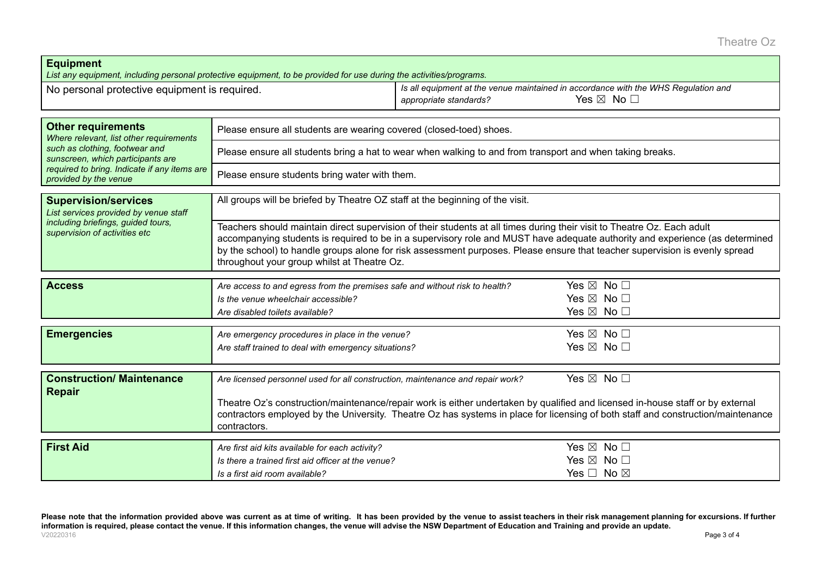Theatre Oz

| <b>Equipment</b>                                                                                                                                                                                                     | List any equipment, including personal protective equipment, to be provided for use during the activities/programs.                                                                                                                                                                                                                                                                                                                   |                        |                                                                                                                    |  |  |  |
|----------------------------------------------------------------------------------------------------------------------------------------------------------------------------------------------------------------------|---------------------------------------------------------------------------------------------------------------------------------------------------------------------------------------------------------------------------------------------------------------------------------------------------------------------------------------------------------------------------------------------------------------------------------------|------------------------|--------------------------------------------------------------------------------------------------------------------|--|--|--|
| No personal protective equipment is required.                                                                                                                                                                        |                                                                                                                                                                                                                                                                                                                                                                                                                                       | appropriate standards? | Is all equipment at the venue maintained in accordance with the WHS Regulation and<br>Yes $\boxtimes$ No $\square$ |  |  |  |
|                                                                                                                                                                                                                      |                                                                                                                                                                                                                                                                                                                                                                                                                                       |                        |                                                                                                                    |  |  |  |
| <b>Other requirements</b><br>Where relevant, list other requirements<br>such as clothing, footwear and<br>sunscreen, which participants are<br>required to bring. Indicate if any items are<br>provided by the venue | Please ensure all students are wearing covered (closed-toed) shoes.                                                                                                                                                                                                                                                                                                                                                                   |                        |                                                                                                                    |  |  |  |
|                                                                                                                                                                                                                      | Please ensure all students bring a hat to wear when walking to and from transport and when taking breaks.                                                                                                                                                                                                                                                                                                                             |                        |                                                                                                                    |  |  |  |
|                                                                                                                                                                                                                      | Please ensure students bring water with them.                                                                                                                                                                                                                                                                                                                                                                                         |                        |                                                                                                                    |  |  |  |
|                                                                                                                                                                                                                      |                                                                                                                                                                                                                                                                                                                                                                                                                                       |                        |                                                                                                                    |  |  |  |
| <b>Supervision/services</b><br>List services provided by venue staff<br>including briefings, guided tours,<br>supervision of activities etc                                                                          | All groups will be briefed by Theatre OZ staff at the beginning of the visit.                                                                                                                                                                                                                                                                                                                                                         |                        |                                                                                                                    |  |  |  |
|                                                                                                                                                                                                                      | Teachers should maintain direct supervision of their students at all times during their visit to Theatre Oz. Each adult<br>accompanying students is required to be in a supervisory role and MUST have adequate authority and experience (as determined<br>by the school) to handle groups alone for risk assessment purposes. Please ensure that teacher supervision is evenly spread<br>throughout your group whilst at Theatre Oz. |                        |                                                                                                                    |  |  |  |
|                                                                                                                                                                                                                      |                                                                                                                                                                                                                                                                                                                                                                                                                                       |                        |                                                                                                                    |  |  |  |
| <b>Access</b>                                                                                                                                                                                                        | Are access to and egress from the premises safe and without risk to health?                                                                                                                                                                                                                                                                                                                                                           |                        | Yes $\boxtimes$ No $\square$                                                                                       |  |  |  |
|                                                                                                                                                                                                                      | Is the venue wheelchair accessible?                                                                                                                                                                                                                                                                                                                                                                                                   |                        | Yes $\boxtimes$ No $\square$                                                                                       |  |  |  |
|                                                                                                                                                                                                                      | Are disabled toilets available?                                                                                                                                                                                                                                                                                                                                                                                                       |                        | Yes $\boxtimes$ No $\square$                                                                                       |  |  |  |
|                                                                                                                                                                                                                      |                                                                                                                                                                                                                                                                                                                                                                                                                                       |                        |                                                                                                                    |  |  |  |
| <b>Emergencies</b>                                                                                                                                                                                                   | Are emergency procedures in place in the venue?                                                                                                                                                                                                                                                                                                                                                                                       |                        | Yes $\boxtimes$ No $\square$                                                                                       |  |  |  |
|                                                                                                                                                                                                                      | Are staff trained to deal with emergency situations?                                                                                                                                                                                                                                                                                                                                                                                  |                        | Yes $\boxtimes$ No $\square$                                                                                       |  |  |  |
|                                                                                                                                                                                                                      |                                                                                                                                                                                                                                                                                                                                                                                                                                       |                        |                                                                                                                    |  |  |  |
| <b>Construction/ Maintenance</b>                                                                                                                                                                                     | Are licensed personnel used for all construction, maintenance and repair work?                                                                                                                                                                                                                                                                                                                                                        |                        | Yes $\boxtimes$ No $\square$                                                                                       |  |  |  |
| <b>Repair</b>                                                                                                                                                                                                        |                                                                                                                                                                                                                                                                                                                                                                                                                                       |                        |                                                                                                                    |  |  |  |
|                                                                                                                                                                                                                      | Theatre Oz's construction/maintenance/repair work is either undertaken by qualified and licensed in-house staff or by external                                                                                                                                                                                                                                                                                                        |                        |                                                                                                                    |  |  |  |
|                                                                                                                                                                                                                      | contractors employed by the University. Theatre Oz has systems in place for licensing of both staff and construction/maintenance<br>contractors.                                                                                                                                                                                                                                                                                      |                        |                                                                                                                    |  |  |  |
|                                                                                                                                                                                                                      |                                                                                                                                                                                                                                                                                                                                                                                                                                       |                        |                                                                                                                    |  |  |  |
| <b>First Aid</b>                                                                                                                                                                                                     | Are first aid kits available for each activity?                                                                                                                                                                                                                                                                                                                                                                                       |                        | Yes $\boxtimes$ No $\square$                                                                                       |  |  |  |
|                                                                                                                                                                                                                      | Is there a trained first aid officer at the venue?                                                                                                                                                                                                                                                                                                                                                                                    |                        | Yes $\boxtimes$ No $\square$                                                                                       |  |  |  |
|                                                                                                                                                                                                                      | Is a first aid room available?                                                                                                                                                                                                                                                                                                                                                                                                        |                        | Yes $\Box$ No $\boxtimes$                                                                                          |  |  |  |

Please note that the information provided above was current as at time of writing. It has been provided by the venue to assist teachers in their risk management planning for excursions. If further information is required, please contact the venue. If this information changes, the venue will advise the NSW Department of Education and Training and provide an update. V20220316 Page 3 of 4